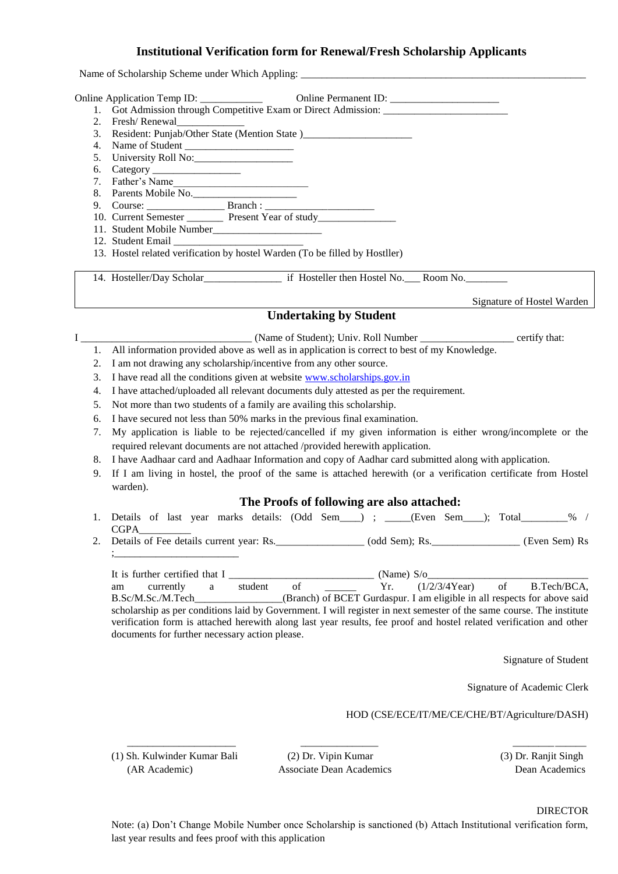### **Institutional Verification form for Renewal/Fresh Scholarship Applicants**

Name of Scholarship Scheme under Which Appling:

Online Application Temp ID:  $\qquad \qquad \text{Online Permanent ID:}$ 

- 1. Got Admission through Competitive Exam or Direct Admission:
- 2. Fresh/Renewal
- 3. Resident: Punjab/Other State (Mention State )\_\_\_\_\_\_\_\_\_\_\_\_\_\_\_\_\_\_\_\_\_\_\_\_\_\_\_\_\_\_\_\_
- 4. Name of Student \_\_\_\_\_\_\_\_\_\_\_\_\_\_\_\_\_\_\_\_\_
- 5. University Roll No:
- 6. Category \_\_\_\_\_\_\_\_\_\_\_\_\_\_\_\_\_
- 7. Father's Name
- 8. Parents Mobile No.
- 9. Course: \_\_\_\_\_\_\_\_\_\_\_\_\_\_\_ Branch : \_\_\_\_\_\_\_\_\_\_\_\_\_\_\_\_\_\_\_\_\_
- 10. Current Semester \_\_\_\_\_\_\_ Present Year of study\_\_\_\_\_\_\_\_\_\_\_\_\_\_\_
- 11. Student Mobile Number\_\_\_\_\_\_\_\_\_\_\_\_\_\_\_\_\_\_\_\_\_
- 12. Student Email
- 13. Hostel related verification by hostel Warden (To be filled by Hostller)

14. Hosteller/Day Scholar\_\_\_\_\_\_\_\_\_\_\_\_\_\_\_ if Hosteller then Hostel No.\_\_\_ Room No.\_\_\_\_\_\_\_\_

Signature of Hostel Warden

### **Undertaking by Student**

I contract a contract CN (Name of Student); Univ. Roll Number contract certify that:

- 1. All information provided above as well as in application is correct to best of my Knowledge.
- 2. I am not drawing any scholarship/incentive from any other source.
- 3. I have read all the conditions given at website [www.scholarships.gov.in](http://www.scholarships.gov.in/)
- 4. I have attached/uploaded all relevant documents duly attested as per the requirement.
- 5. Not more than two students of a family are availing this scholarship.
- 6. I have secured not less than 50% marks in the previous final examination.
- 7. My application is liable to be rejected/cancelled if my given information is either wrong/incomplete or the required relevant documents are not attached /provided herewith application.
- 8. I have Aadhaar card and Aadhaar Information and copy of Aadhar card submitted along with application.
- 9. If I am living in hostel, the proof of the same is attached herewith (or a verification certificate from Hostel warden).

#### **The Proofs of following are also attached:**

- 1. Details of last year marks details: (Odd Sem\_\_\_\_) ; \_\_\_\_\_(Even Sem\_\_\_\_); Total\_\_\_\_\_\_\_\_\_% / CGPA\_\_\_\_\_\_\_\_\_\_
- 2. Details of Fee details current year: Rs.\_\_\_\_\_\_\_\_\_\_\_\_\_\_\_\_\_\_ (odd Sem); Rs.\_\_\_\_\_\_\_\_\_\_\_\_\_\_\_\_\_ (Even Sem) Rs ;\_\_\_\_\_\_\_\_\_\_\_\_\_\_\_\_\_\_\_\_\_\_\_\_

It is further certified that I \_\_\_\_\_\_\_\_\_\_\_\_\_\_\_\_\_\_\_\_\_\_\_\_\_\_\_\_ (Name) S/o\_\_\_\_\_\_\_\_\_\_\_\_\_\_\_\_\_\_\_\_\_\_\_\_\_\_\_\_\_\_\_ am currently a student of  $Yr.$  (1/2/3/4Year) of B.Tech/BCA, B.Sc/M.Sc./M.Tech\_\_\_\_\_\_\_\_\_\_\_\_\_(Branch) of BCET Gurdaspur. I am eligible in all respects for above said scholarship as per conditions laid by Government. I will register in next semester of the same course. The institute verification form is attached herewith along last year results, fee proof and hostel related verification and other documents for further necessary action please.

Signature of Student

Signature of Academic Clerk

HOD (CSE/ECE/IT/ME/CE/CHE/BT/Agriculture/DASH)

(1) Sh. Kulwinder Kumar Bali (2) Dr. Vipin Kumar (3) Dr. Ranjit Singh

(AR Academic) Associate Dean Academics Dean Academics

 $\frac{1}{2}$  ,  $\frac{1}{2}$  ,  $\frac{1}{2}$  ,  $\frac{1}{2}$  ,  $\frac{1}{2}$  ,  $\frac{1}{2}$  ,  $\frac{1}{2}$  ,  $\frac{1}{2}$  ,  $\frac{1}{2}$  ,  $\frac{1}{2}$  ,  $\frac{1}{2}$  ,  $\frac{1}{2}$  ,  $\frac{1}{2}$  ,  $\frac{1}{2}$  ,  $\frac{1}{2}$  ,  $\frac{1}{2}$  ,  $\frac{1}{2}$  ,  $\frac{1}{2}$  ,  $\frac{1$ 

DIRECTOR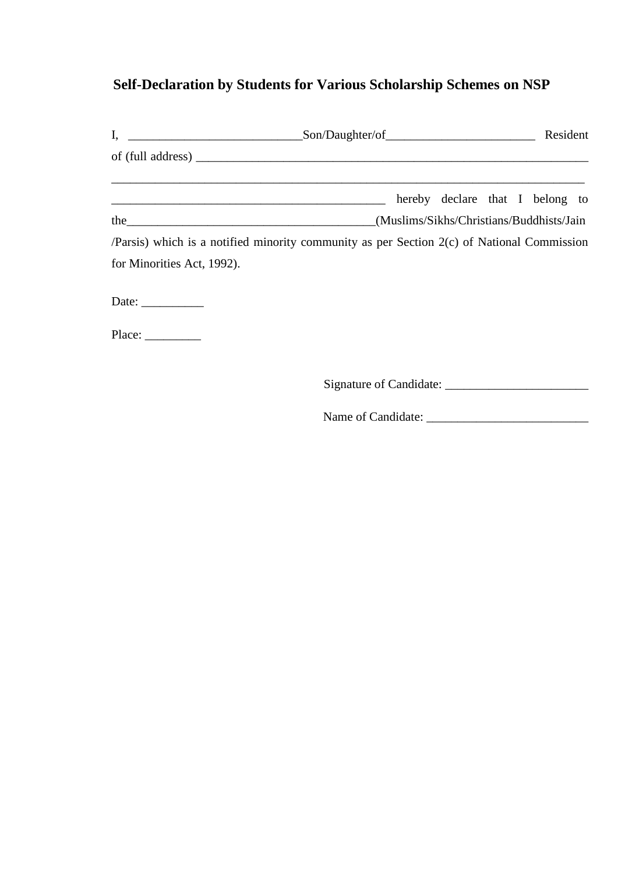## **Self-Declaration by Students for Various Scholarship Schemes on NSP**

|                                                          | of (full address)                                                                          |  |
|----------------------------------------------------------|--------------------------------------------------------------------------------------------|--|
|                                                          | hereby declare that I belong to                                                            |  |
|                                                          | (Muslims/Sikhs/Christians/Buddhists/Jain)                                                  |  |
|                                                          | /Parsis) which is a notified minority community as per Section 2(c) of National Commission |  |
| for Minorities Act, 1992).                               |                                                                                            |  |
| Date: $\frac{1}{\sqrt{1-\frac{1}{2}} \cdot \frac{1}{2}}$ |                                                                                            |  |
|                                                          |                                                                                            |  |
|                                                          | Signature of Candidate:                                                                    |  |

Name of Candidate: \_\_\_\_\_\_\_\_\_\_\_\_\_\_\_\_\_\_\_\_\_\_\_\_\_\_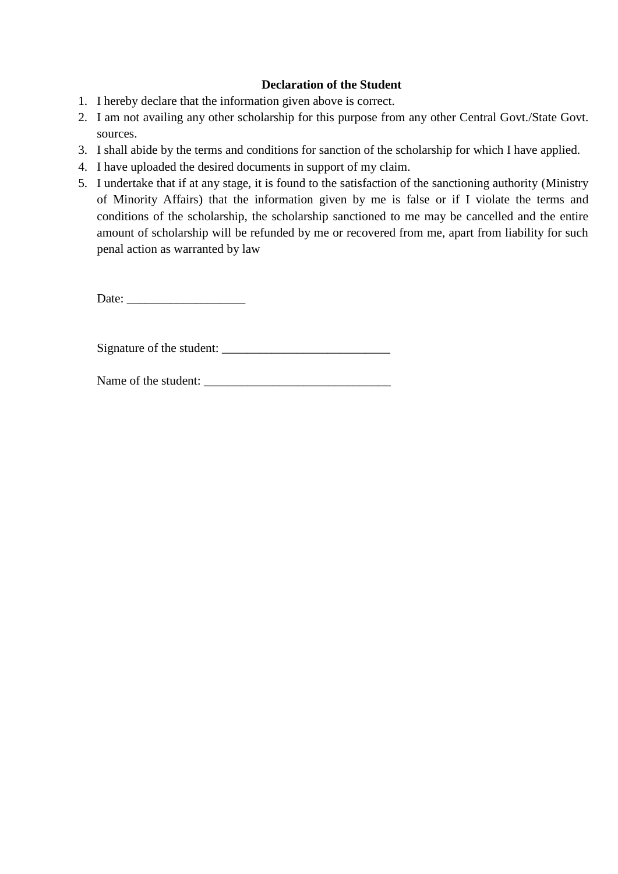### **Declaration of the Student**

- 1. I hereby declare that the information given above is correct.
- 2. I am not availing any other scholarship for this purpose from any other Central Govt./State Govt. sources.
- 3. I shall abide by the terms and conditions for sanction of the scholarship for which I have applied.
- 4. I have uploaded the desired documents in support of my claim.
- 5. I undertake that if at any stage, it is found to the satisfaction of the sanctioning authority (Ministry of Minority Affairs) that the information given by me is false or if I violate the terms and conditions of the scholarship, the scholarship sanctioned to me may be cancelled and the entire amount of scholarship will be refunded by me or recovered from me, apart from liability for such penal action as warranted by law

Date: \_\_\_\_\_\_\_\_\_\_\_\_\_\_\_\_\_\_\_

Signature of the student:

Name of the student: \_\_\_\_\_\_\_\_\_\_\_\_\_\_\_\_\_\_\_\_\_\_\_\_\_\_\_\_\_\_